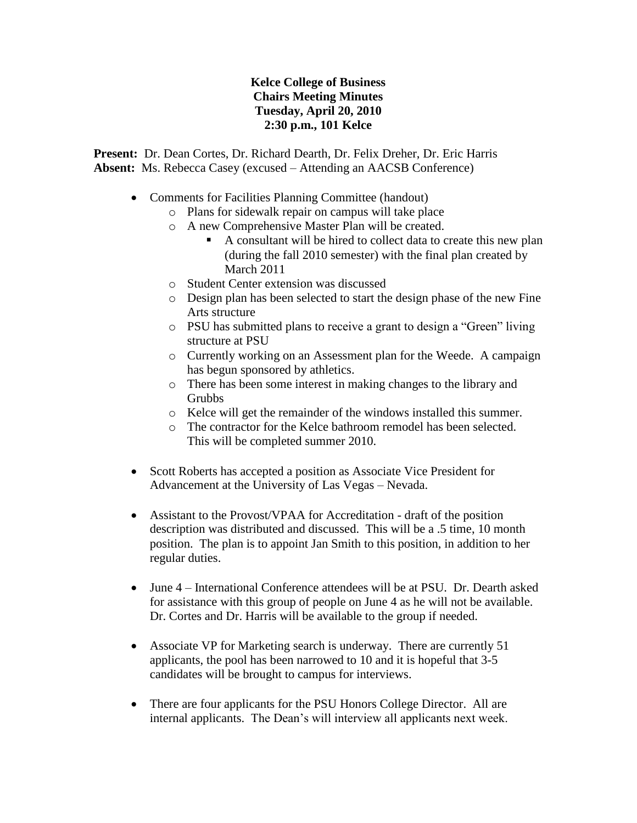## **Kelce College of Business Chairs Meeting Minutes Tuesday, April 20, 2010 2:30 p.m., 101 Kelce**

**Present:** Dr. Dean Cortes, Dr. Richard Dearth, Dr. Felix Dreher, Dr. Eric Harris **Absent:** Ms. Rebecca Casey (excused – Attending an AACSB Conference)

- Comments for Facilities Planning Committee (handout)
	- o Plans for sidewalk repair on campus will take place
	- o A new Comprehensive Master Plan will be created.
		- A consultant will be hired to collect data to create this new plan (during the fall 2010 semester) with the final plan created by March 2011
	- o Student Center extension was discussed
	- o Design plan has been selected to start the design phase of the new Fine Arts structure
	- o PSU has submitted plans to receive a grant to design a "Green" living structure at PSU
	- o Currently working on an Assessment plan for the Weede. A campaign has begun sponsored by athletics.
	- o There has been some interest in making changes to the library and **Grubbs**
	- o Kelce will get the remainder of the windows installed this summer.
	- o The contractor for the Kelce bathroom remodel has been selected. This will be completed summer 2010.
- Scott Roberts has accepted a position as Associate Vice President for Advancement at the University of Las Vegas – Nevada.
- Assistant to the Provost/VPAA for Accreditation draft of the position description was distributed and discussed. This will be a .5 time, 10 month position. The plan is to appoint Jan Smith to this position, in addition to her regular duties.
- June 4 International Conference attendees will be at PSU. Dr. Dearth asked for assistance with this group of people on June 4 as he will not be available. Dr. Cortes and Dr. Harris will be available to the group if needed.
- Associate VP for Marketing search is underway. There are currently 51 applicants, the pool has been narrowed to 10 and it is hopeful that 3-5 candidates will be brought to campus for interviews.
- There are four applicants for the PSU Honors College Director. All are internal applicants. The Dean's will interview all applicants next week.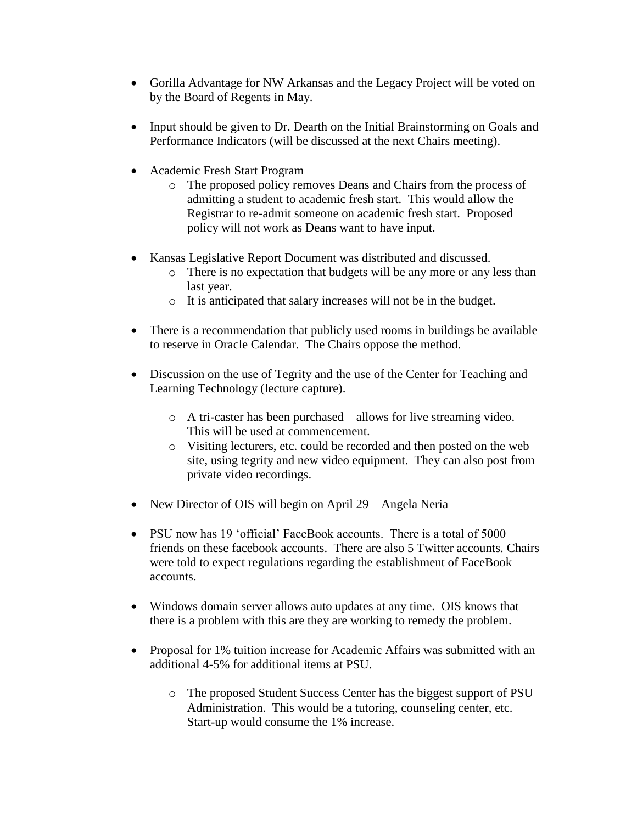- Gorilla Advantage for NW Arkansas and the Legacy Project will be voted on by the Board of Regents in May.
- Input should be given to Dr. Dearth on the Initial Brainstorming on Goals and Performance Indicators (will be discussed at the next Chairs meeting).
- Academic Fresh Start Program
	- o The proposed policy removes Deans and Chairs from the process of admitting a student to academic fresh start. This would allow the Registrar to re-admit someone on academic fresh start. Proposed policy will not work as Deans want to have input.
- Kansas Legislative Report Document was distributed and discussed.
	- o There is no expectation that budgets will be any more or any less than last year.
	- o It is anticipated that salary increases will not be in the budget.
- There is a recommendation that publicly used rooms in buildings be available to reserve in Oracle Calendar. The Chairs oppose the method.
- Discussion on the use of Tegrity and the use of the Center for Teaching and Learning Technology (lecture capture).
	- o A tri-caster has been purchased allows for live streaming video. This will be used at commencement.
	- o Visiting lecturers, etc. could be recorded and then posted on the web site, using tegrity and new video equipment. They can also post from private video recordings.
- New Director of OIS will begin on April 29 Angela Neria
- PSU now has 19 'official' FaceBook accounts. There is a total of 5000 friends on these facebook accounts. There are also 5 Twitter accounts. Chairs were told to expect regulations regarding the establishment of FaceBook accounts.
- Windows domain server allows auto updates at any time. OIS knows that there is a problem with this are they are working to remedy the problem.
- Proposal for 1% tuition increase for Academic Affairs was submitted with an additional 4-5% for additional items at PSU.
	- o The proposed Student Success Center has the biggest support of PSU Administration. This would be a tutoring, counseling center, etc. Start-up would consume the 1% increase.